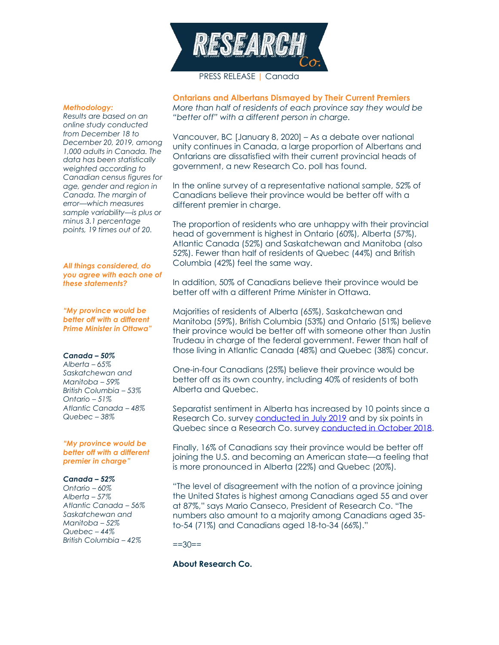

## PRESS RELEASE | Canada

#### *Methodology:*

*Results are based on an online study conducted from December 18 to December 20, 2019, among 1,000 adults in Canada. The data has been statistically weighted according to Canadian census figures for age, gender and region in Canada. The margin of error—which measures sample variability—is plus or minus 3.1 percentage points, 19 times out of 20.*

## *All things considered, do you agree with each one of these statements?*

*"My province would be better off with a different Prime Minister in Ottawa"*

### *Canada – 50%*

*Alberta – 65% Saskatchewan and Manitoba – 59% British Columbia – 53% Ontario – 51% Atlantic Canada – 48% Quebec – 38%*

## *"My province would be better off with a different premier in charge"*

#### *Canada – 52%*

*Ontario – 60% Alberta – 57% Atlantic Canada – 56% Saskatchewan and Manitoba – 52% Quebec – 44% British Columbia – 42%*

**Ontarians and Albertans Dismayed by Their Current Premiers** *More than half of residents of each province say they would be "better off" with a different person in charge.*

Vancouver, BC [January 8, 2020] – As a debate over national unity continues in Canada, a large proportion of Albertans and Ontarians are dissatisfied with their current provincial heads of government, a new Research Co. poll has found.

In the online survey of a representative national sample, 52% of Canadians believe their province would be better off with a different premier in charge.

The proportion of residents who are unhappy with their provincial head of government is highest in Ontario (60%), Alberta (57%), Atlantic Canada (52%) and Saskatchewan and Manitoba (also 52%). Fewer than half of residents of Quebec (44%) and British Columbia (42%) feel the same way.

In addition, 50% of Canadians believe their province would be better off with a different Prime Minister in Ottawa.

Majorities of residents of Alberta (65%), Saskatchewan and Manitoba (59%), British Columbia (53%) and Ontario (51%) believe their province would be better off with someone other than Justin Trudeau in charge of the federal government. Fewer than half of those living in Atlantic Canada (48%) and Quebec (38%) concur.

One-in-four Canadians (25%) believe their province would be better off as its own country, including 40% of residents of both Alberta and Quebec.

Separatist sentiment in Alberta has increased by 10 points since a Research Co. survey [conducted in July 2019](https://researchco.ca/2019/08/07/maybe-a-great-magnet-pulls-all-souls-towards-truth/) and by six points in Quebec since a Research Co. survey [conducted in October 2018.](https://researchco.ca/2018/10/26/sovereignty/)

Finally, 16% of Canadians say their province would be better off joining the U.S. and becoming an American state—a feeling that is more pronounced in Alberta (22%) and Quebec (20%).

"The level of disagreement with the notion of a province joining the United States is highest among Canadians aged 55 and over at 87%," says Mario Canseco, President of Research Co. "The numbers also amount to a majority among Canadians aged 35 to-54 (71%) and Canadians aged 18-to-34 (66%)."

 $==30==$ 

# **About Research Co.**